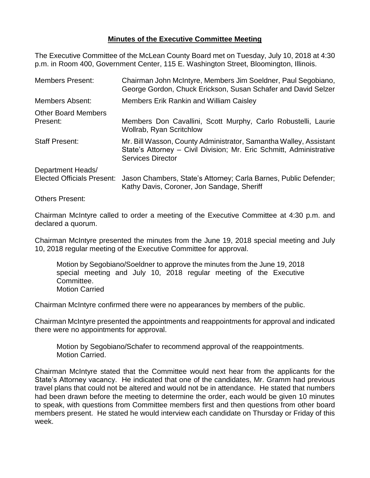## **Minutes of the Executive Committee Meeting**

The Executive Committee of the McLean County Board met on Tuesday, July 10, 2018 at 4:30 p.m. in Room 400, Government Center, 115 E. Washington Street, Bloomington, Illinois.

| <b>Members Present:</b>                                | Chairman John McIntyre, Members Jim Soeldner, Paul Segobiano,<br>George Gordon, Chuck Erickson, Susan Schafer and David Selzer                                       |
|--------------------------------------------------------|----------------------------------------------------------------------------------------------------------------------------------------------------------------------|
| <b>Members Absent:</b>                                 | <b>Members Erik Rankin and William Caisley</b>                                                                                                                       |
| <b>Other Board Members</b><br>Present:                 | Members Don Cavallini, Scott Murphy, Carlo Robustelli, Laurie<br><b>Wollrab, Ryan Scritchlow</b>                                                                     |
| <b>Staff Present:</b>                                  | Mr. Bill Wasson, County Administrator, Samantha Walley, Assistant<br>State's Attorney - Civil Division; Mr. Eric Schmitt, Administrative<br><b>Services Director</b> |
| Department Heads/<br><b>Elected Officials Present:</b> | Jason Chambers, State's Attorney; Carla Barnes, Public Defender;<br>Kathy Davis, Coroner, Jon Sandage, Sheriff                                                       |
| <b>Others Present:</b>                                 |                                                                                                                                                                      |

Chairman McIntyre called to order a meeting of the Executive Committee at 4:30 p.m. and

declared a quorum. Chairman McIntyre presented the minutes from the June 19, 2018 special meeting and July

10, 2018 regular meeting of the Executive Committee for approval.

Motion by Segobiano/Soeldner to approve the minutes from the June 19, 2018 special meeting and July 10, 2018 regular meeting of the Executive Committee. Motion Carried

Chairman McIntyre confirmed there were no appearances by members of the public.

Chairman McIntyre presented the appointments and reappointments for approval and indicated there were no appointments for approval.

Motion by Segobiano/Schafer to recommend approval of the reappointments. Motion Carried.

Chairman McIntyre stated that the Committee would next hear from the applicants for the State's Attorney vacancy. He indicated that one of the candidates, Mr. Gramm had previous travel plans that could not be altered and would not be in attendance. He stated that numbers had been drawn before the meeting to determine the order, each would be given 10 minutes to speak, with questions from Committee members first and then questions from other board members present. He stated he would interview each candidate on Thursday or Friday of this week.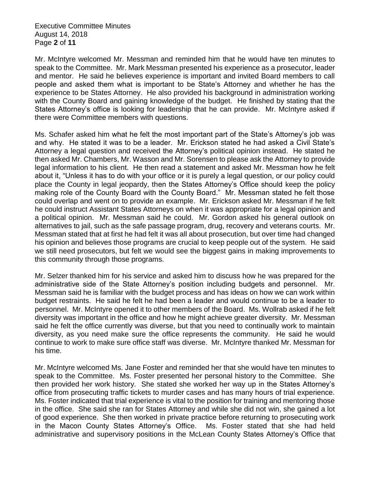Executive Committee Minutes August 14, 2018 Page **2** of **11**

Mr. McIntyre welcomed Mr. Messman and reminded him that he would have ten minutes to speak to the Committee. Mr. Mark Messman presented his experience as a prosecutor, leader and mentor. He said he believes experience is important and invited Board members to call people and asked them what is important to be State's Attorney and whether he has the experience to be States Attorney. He also provided his background in administration working with the County Board and gaining knowledge of the budget. He finished by stating that the States Attorney's office is looking for leadership that he can provide. Mr. McIntyre asked if there were Committee members with questions.

Ms. Schafer asked him what he felt the most important part of the State's Attorney's job was and why. He stated it was to be a leader. Mr. Erickson stated he had asked a Civil State's Attorney a legal question and received the Attorney's political opinion instead. He stated he then asked Mr. Chambers, Mr. Wasson and Mr. Sorensen to please ask the Attorney to provide legal information to his client. He then read a statement and asked Mr. Messman how he felt about it, "Unless it has to do with your office or it is purely a legal question, or our policy could place the County in legal jeopardy, then the States Attorney's Office should keep the policy making role of the County Board with the County Board." Mr. Messman stated he felt those could overlap and went on to provide an example. Mr. Erickson asked Mr. Messman if he felt he could instruct Assistant States Attorneys on when it was appropriate for a legal opinion and a political opinion. Mr. Messman said he could. Mr. Gordon asked his general outlook on alternatives to jail, such as the safe passage program, drug, recovery and veterans courts. Mr. Messman stated that at first he had felt it was all about prosecution, but over time had changed his opinion and believes those programs are crucial to keep people out of the system. He said we still need prosecutors, but felt we would see the biggest gains in making improvements to this community through those programs.

Mr. Selzer thanked him for his service and asked him to discuss how he was prepared for the administrative side of the State Attorney's position including budgets and personnel. Mr. Messman said he is familiar with the budget process and has ideas on how we can work within budget restraints. He said he felt he had been a leader and would continue to be a leader to personnel. Mr. McIntyre opened it to other members of the Board. Ms. Wollrab asked if he felt diversity was important in the office and how he might achieve greater diversity. Mr. Messman said he felt the office currently was diverse, but that you need to continually work to maintain diversity, as you need make sure the office represents the community. He said he would continue to work to make sure office staff was diverse. Mr. McIntyre thanked Mr. Messman for his time.

Mr. McIntyre welcomed Ms. Jane Foster and reminded her that she would have ten minutes to speak to the Committee. Ms. Foster presented her personal history to the Committee. She then provided her work history. She stated she worked her way up in the States Attorney's office from prosecuting traffic tickets to murder cases and has many hours of trial experience. Ms. Foster indicated that trial experience is vital to the position for training and mentoring those in the office. She said she ran for States Attorney and while she did not win, she gained a lot of good experience. She then worked in private practice before returning to prosecuting work in the Macon County States Attorney's Office. Ms. Foster stated that she had held administrative and supervisory positions in the McLean County States Attorney's Office that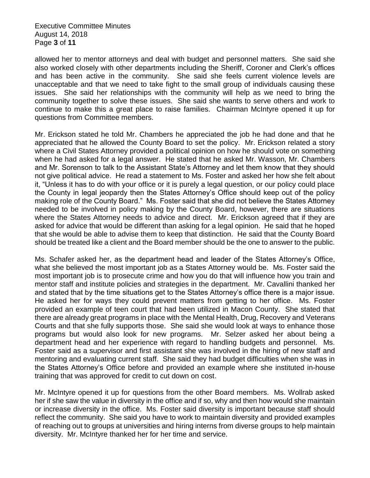Executive Committee Minutes August 14, 2018 Page **3** of **11**

allowed her to mentor attorneys and deal with budget and personnel matters. She said she also worked closely with other departments including the Sheriff, Coroner and Clerk's offices and has been active in the community. She said she feels current violence levels are unacceptable and that we need to take fight to the small group of individuals causing these issues. She said her relationships with the community will help as we need to bring the community together to solve these issues. She said she wants to serve others and work to continue to make this a great place to raise families. Chairman McIntyre opened it up for questions from Committee members.

Mr. Erickson stated he told Mr. Chambers he appreciated the job he had done and that he appreciated that he allowed the County Board to set the policy. Mr. Erickson related a story where a Civil States Attorney provided a political opinion on how he should vote on something when he had asked for a legal answer. He stated that he asked Mr. Wasson, Mr. Chambers and Mr. Sorenson to talk to the Assistant State's Attorney and let them know that they should not give political advice. He read a statement to Ms. Foster and asked her how she felt about it, "Unless it has to do with your office or it is purely a legal question, or our policy could place the County in legal jeopardy then the States Attorney's Office should keep out of the policy making role of the County Board." Ms. Foster said that she did not believe the States Attorney needed to be involved in policy making by the County Board, however, there are situations where the States Attorney needs to advice and direct. Mr. Erickson agreed that if they are asked for advice that would be different than asking for a legal opinion. He said that he hoped that she would be able to advise them to keep that distinction. He said that the County Board should be treated like a client and the Board member should be the one to answer to the public.

Ms. Schafer asked her, as the department head and leader of the States Attorney's Office, what she believed the most important job as a States Attorney would be. Ms. Foster said the most important job is to prosecute crime and how you do that will influence how you train and mentor staff and institute policies and strategies in the department. Mr. Cavallini thanked her and stated that by the time situations get to the States Attorney's office there is a major issue. He asked her for ways they could prevent matters from getting to her office. Ms. Foster provided an example of teen court that had been utilized in Macon County. She stated that there are already great programs in place with the Mental Health, Drug, Recovery and Veterans Courts and that she fully supports those. She said she would look at ways to enhance those programs but would also look for new programs. Mr. Selzer asked her about being a department head and her experience with regard to handling budgets and personnel. Ms. Foster said as a supervisor and first assistant she was involved in the hiring of new staff and mentoring and evaluating current staff. She said they had budget difficulties when she was in the States Attorney's Office before and provided an example where she instituted in-house training that was approved for credit to cut down on cost.

Mr. McIntyre opened it up for questions from the other Board members. Ms. Wollrab asked her if she saw the value in diversity in the office and if so, why and then how would she maintain or increase diversity in the office. Ms. Foster said diversity is important because staff should reflect the community. She said you have to work to maintain diversity and provided examples of reaching out to groups at universities and hiring interns from diverse groups to help maintain diversity. Mr. McIntyre thanked her for her time and service.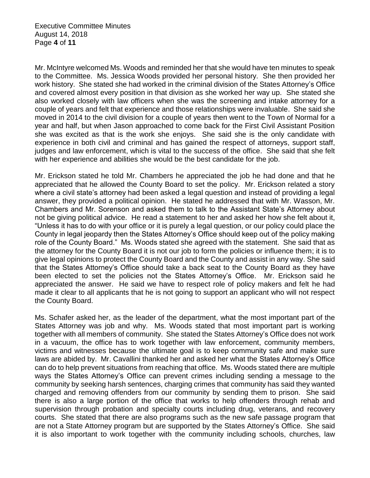Executive Committee Minutes August 14, 2018 Page **4** of **11**

Mr. McIntyre welcomed Ms. Woods and reminded her that she would have ten minutes to speak to the Committee. Ms. Jessica Woods provided her personal history. She then provided her work history. She stated she had worked in the criminal division of the States Attorney's Office and covered almost every position in that division as she worked her way up. She stated she also worked closely with law officers when she was the screening and intake attorney for a couple of years and felt that experience and those relationships were invaluable. She said she moved in 2014 to the civil division for a couple of years then went to the Town of Normal for a year and half, but when Jason approached to come back for the First Civil Assistant Position she was excited as that is the work she enjoys. She said she is the only candidate with experience in both civil and criminal and has gained the respect of attorneys, support staff, judges and law enforcement, which is vital to the success of the office. She said that she felt with her experience and abilities she would be the best candidate for the job.

Mr. Erickson stated he told Mr. Chambers he appreciated the job he had done and that he appreciated that he allowed the County Board to set the policy. Mr. Erickson related a story where a civil state's attorney had been asked a legal question and instead of providing a legal answer, they provided a political opinion. He stated he addressed that with Mr. Wasson, Mr. Chambers and Mr. Sorenson and asked them to talk to the Assistant State's Attorney about not be giving political advice. He read a statement to her and asked her how she felt about it, "Unless it has to do with your office or it is purely a legal question, or our policy could place the County in legal jeopardy then the States Attorney's Office should keep out of the policy making role of the County Board." Ms. Woods stated she agreed with the statement. She said that as the attorney for the County Board it is not our job to form the policies or influence them; it is to give legal opinions to protect the County Board and the County and assist in any way. She said that the States Attorney's Office should take a back seat to the County Board as they have been elected to set the policies not the States Attorney's Office. Mr. Erickson said he appreciated the answer. He said we have to respect role of policy makers and felt he had made it clear to all applicants that he is not going to support an applicant who will not respect the County Board.

Ms. Schafer asked her, as the leader of the department, what the most important part of the States Attorney was job and why. Ms. Woods stated that most important part is working together with all members of community. She stated the States Attorney's Office does not work in a vacuum, the office has to work together with law enforcement, community members, victims and witnesses because the ultimate goal is to keep community safe and make sure laws are abided by. Mr. Cavallini thanked her and asked her what the States Attorney's Office can do to help prevent situations from reaching that office. Ms. Woods stated there are multiple ways the States Attorney's Office can prevent crimes including sending a message to the community by seeking harsh sentences, charging crimes that community has said they wanted charged and removing offenders from our community by sending them to prison. She said there is also a large portion of the office that works to help offenders through rehab and supervision through probation and specialty courts including drug, veterans, and recovery courts. She stated that there are also programs such as the new safe passage program that are not a State Attorney program but are supported by the States Attorney's Office. She said it is also important to work together with the community including schools, churches, law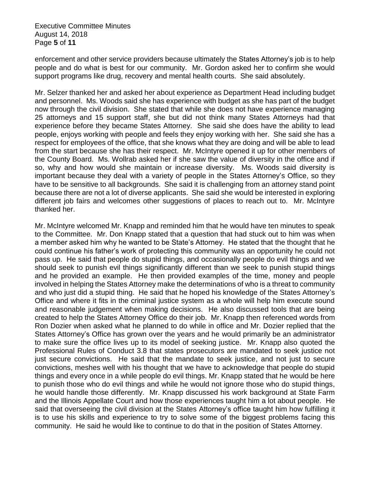Executive Committee Minutes August 14, 2018 Page **5** of **11**

enforcement and other service providers because ultimately the States Attorney's job is to help people and do what is best for our community. Mr. Gordon asked her to confirm she would support programs like drug, recovery and mental health courts. She said absolutely.

Mr. Selzer thanked her and asked her about experience as Department Head including budget and personnel. Ms. Woods said she has experience with budget as she has part of the budget now through the civil division. She stated that while she does not have experience managing 25 attorneys and 15 support staff, she but did not think many States Attorneys had that experience before they became States Attorney. She said she does have the ability to lead people, enjoys working with people and feels they enjoy working with her. She said she has a respect for employees of the office, that she knows what they are doing and will be able to lead from the start because she has their respect. Mr. McIntyre opened it up for other members of the County Board. Ms. Wollrab asked her if she saw the value of diversity in the office and if so, why and how would she maintain or increase diversity. Ms. Woods said diversity is important because they deal with a variety of people in the States Attorney's Office, so they have to be sensitive to all backgrounds. She said it is challenging from an attorney stand point because there are not a lot of diverse applicants. She said she would be interested in exploring different job fairs and welcomes other suggestions of places to reach out to. Mr. McIntyre thanked her.

Mr. McIntyre welcomed Mr. Knapp and reminded him that he would have ten minutes to speak to the Committee. Mr. Don Knapp stated that a question that had stuck out to him was when a member asked him why he wanted to be State's Attorney. He stated that the thought that he could continue his father's work of protecting this community was an opportunity he could not pass up. He said that people do stupid things, and occasionally people do evil things and we should seek to punish evil things significantly different than we seek to punish stupid things and he provided an example. He then provided examples of the time, money and people involved in helping the States Attorney make the determinations of who is a threat to community and who just did a stupid thing. He said that he hoped his knowledge of the States Attorney's Office and where it fits in the criminal justice system as a whole will help him execute sound and reasonable judgement when making decisions. He also discussed tools that are being created to help the States Attorney Office do their job. Mr. Knapp then referenced words from Ron Dozier when asked what he planned to do while in office and Mr. Dozier replied that the States Attorney's Office has grown over the years and he would primarily be an administrator to make sure the office lives up to its model of seeking justice. Mr. Knapp also quoted the Professional Rules of Conduct 3.8 that states prosecutors are mandated to seek justice not just secure convictions. He said that the mandate to seek justice, and not just to secure convictions, meshes well with his thought that we have to acknowledge that people do stupid things and every once in a while people do evil things. Mr. Knapp stated that he would be here to punish those who do evil things and while he would not ignore those who do stupid things, he would handle those differently. Mr. Knapp discussed his work background at State Farm and the Illinois Appellate Court and how those experiences taught him a lot about people. He said that overseeing the civil division at the States Attorney's office taught him how fulfilling it is to use his skills and experience to try to solve some of the biggest problems facing this community. He said he would like to continue to do that in the position of States Attorney.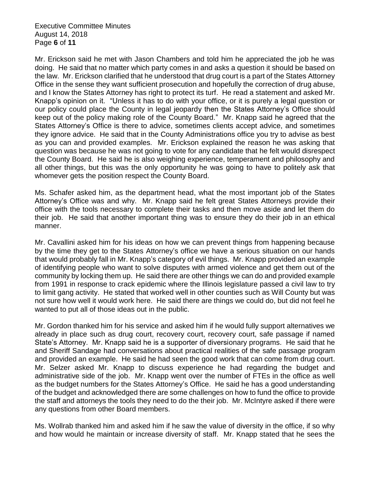Executive Committee Minutes August 14, 2018 Page **6** of **11**

Mr. Erickson said he met with Jason Chambers and told him he appreciated the job he was doing. He said that no matter which party comes in and asks a question it should be based on the law. Mr. Erickson clarified that he understood that drug court is a part of the States Attorney Office in the sense they want sufficient prosecution and hopefully the correction of drug abuse, and I know the States Attorney has right to protect its turf. He read a statement and asked Mr. Knapp's opinion on it. "Unless it has to do with your office, or it is purely a legal question or our policy could place the County in legal jeopardy then the States Attorney's Office should keep out of the policy making role of the County Board." Mr. Knapp said he agreed that the States Attorney's Office is there to advice, sometimes clients accept advice, and sometimes they ignore advice. He said that in the County Administrations office you try to advise as best as you can and provided examples. Mr. Erickson explained the reason he was asking that question was because he was not going to vote for any candidate that he felt would disrespect the County Board. He said he is also weighing experience, temperament and philosophy and all other things, but this was the only opportunity he was going to have to politely ask that whomever gets the position respect the County Board.

Ms. Schafer asked him, as the department head, what the most important job of the States Attorney's Office was and why. Mr. Knapp said he felt great States Attorneys provide their office with the tools necessary to complete their tasks and then move aside and let them do their job. He said that another important thing was to ensure they do their job in an ethical manner.

Mr. Cavallini asked him for his ideas on how we can prevent things from happening because by the time they get to the States Attorney's office we have a serious situation on our hands that would probably fall in Mr. Knapp's category of evil things. Mr. Knapp provided an example of identifying people who want to solve disputes with armed violence and get them out of the community by locking them up. He said there are other things we can do and provided example from 1991 in response to crack epidemic where the Illinois legislature passed a civil law to try to limit gang activity. He stated that worked well in other counties such as Will County but was not sure how well it would work here. He said there are things we could do, but did not feel he wanted to put all of those ideas out in the public.

Mr. Gordon thanked him for his service and asked him if he would fully support alternatives we already in place such as drug court, recovery court, recovery court, safe passage if named State's Attorney. Mr. Knapp said he is a supporter of diversionary programs. He said that he and Sheriff Sandage had conversations about practical realities of the safe passage program and provided an example. He said he had seen the good work that can come from drug court. Mr. Selzer asked Mr. Knapp to discuss experience he had regarding the budget and administrative side of the job. Mr. Knapp went over the number of FTEs in the office as well as the budget numbers for the States Attorney's Office. He said he has a good understanding of the budget and acknowledged there are some challenges on how to fund the office to provide the staff and attorneys the tools they need to do the their job. Mr. McIntyre asked if there were any questions from other Board members.

Ms. Wollrab thanked him and asked him if he saw the value of diversity in the office, if so why and how would he maintain or increase diversity of staff. Mr. Knapp stated that he sees the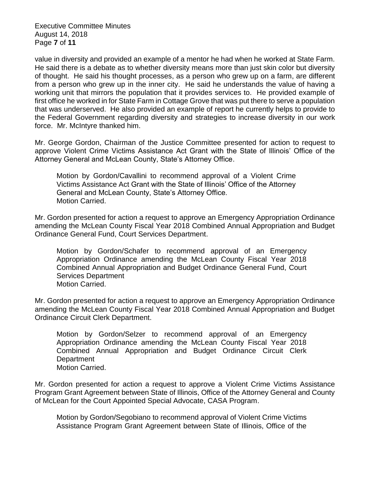Executive Committee Minutes August 14, 2018 Page **7** of **11**

value in diversity and provided an example of a mentor he had when he worked at State Farm. He said there is a debate as to whether diversity means more than just skin color but diversity of thought. He said his thought processes, as a person who grew up on a farm, are different from a person who grew up in the inner city. He said he understands the value of having a working unit that mirrors the population that it provides services to. He provided example of first office he worked in for State Farm in Cottage Grove that was put there to serve a population that was underserved. He also provided an example of report he currently helps to provide to the Federal Government regarding diversity and strategies to increase diversity in our work force. Mr. McIntyre thanked him.

Mr. George Gordon, Chairman of the Justice Committee presented for action to request to approve Violent Crime Victims Assistance Act Grant with the State of Illinois' Office of the Attorney General and McLean County, State's Attorney Office.

Motion by Gordon/Cavallini to recommend approval of a Violent Crime Victims Assistance Act Grant with the State of Illinois' Office of the Attorney General and McLean County, State's Attorney Office. Motion Carried.

Mr. Gordon presented for action a request to approve an Emergency Appropriation Ordinance amending the McLean County Fiscal Year 2018 Combined Annual Appropriation and Budget Ordinance General Fund, Court Services Department.

Motion by Gordon/Schafer to recommend approval of an Emergency Appropriation Ordinance amending the McLean County Fiscal Year 2018 Combined Annual Appropriation and Budget Ordinance General Fund, Court Services Department Motion Carried.

Mr. Gordon presented for action a request to approve an Emergency Appropriation Ordinance amending the McLean County Fiscal Year 2018 Combined Annual Appropriation and Budget Ordinance Circuit Clerk Department.

Motion by Gordon/Selzer to recommend approval of an Emergency Appropriation Ordinance amending the McLean County Fiscal Year 2018 Combined Annual Appropriation and Budget Ordinance Circuit Clerk **Department** Motion Carried.

Mr. Gordon presented for action a request to approve a Violent Crime Victims Assistance Program Grant Agreement between State of Illinois, Office of the Attorney General and County of McLean for the Court Appointed Special Advocate, CASA Program.

Motion by Gordon/Segobiano to recommend approval of Violent Crime Victims Assistance Program Grant Agreement between State of Illinois, Office of the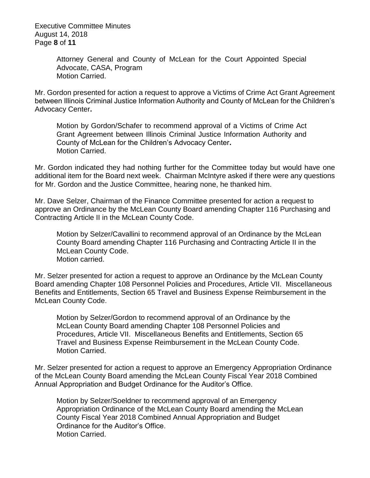Executive Committee Minutes August 14, 2018 Page **8** of **11**

> Attorney General and County of McLean for the Court Appointed Special Advocate, CASA, Program Motion Carried.

Mr. Gordon presented for action a request to approve a Victims of Crime Act Grant Agreement between Illinois Criminal Justice Information Authority and County of McLean for the Children's Advocacy Center**.**

Motion by Gordon/Schafer to recommend approval of a Victims of Crime Act Grant Agreement between Illinois Criminal Justice Information Authority and County of McLean for the Children's Advocacy Center**.** Motion Carried.

Mr. Gordon indicated they had nothing further for the Committee today but would have one additional item for the Board next week. Chairman McIntyre asked if there were any questions for Mr. Gordon and the Justice Committee, hearing none, he thanked him.

Mr. Dave Selzer, Chairman of the Finance Committee presented for action a request to approve an Ordinance by the McLean County Board amending Chapter 116 Purchasing and Contracting Article II in the McLean County Code.

Motion by Selzer/Cavallini to recommend approval of an Ordinance by the McLean County Board amending Chapter 116 Purchasing and Contracting Article II in the McLean County Code. Motion carried.

Mr. Selzer presented for action a request to approve an Ordinance by the McLean County Board amending Chapter 108 Personnel Policies and Procedures, Article VII. Miscellaneous Benefits and Entitlements, Section 65 Travel and Business Expense Reimbursement in the McLean County Code.

Motion by Selzer/Gordon to recommend approval of an Ordinance by the McLean County Board amending Chapter 108 Personnel Policies and Procedures, Article VII. Miscellaneous Benefits and Entitlements, Section 65 Travel and Business Expense Reimbursement in the McLean County Code. Motion Carried.

Mr. Selzer presented for action a request to approve an Emergency Appropriation Ordinance of the McLean County Board amending the McLean County Fiscal Year 2018 Combined Annual Appropriation and Budget Ordinance for the Auditor's Office.

Motion by Selzer/Soeldner to recommend approval of an Emergency Appropriation Ordinance of the McLean County Board amending the McLean County Fiscal Year 2018 Combined Annual Appropriation and Budget Ordinance for the Auditor's Office. Motion Carried.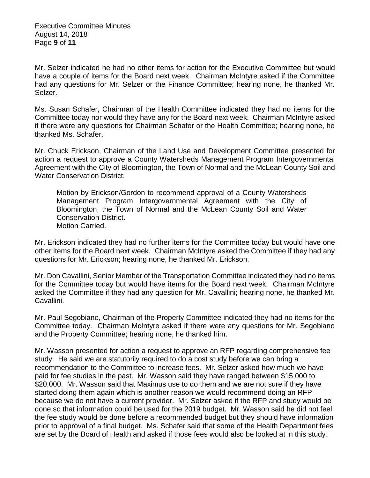Executive Committee Minutes August 14, 2018 Page **9** of **11**

Mr. Selzer indicated he had no other items for action for the Executive Committee but would have a couple of items for the Board next week. Chairman McIntyre asked if the Committee had any questions for Mr. Selzer or the Finance Committee; hearing none, he thanked Mr. Selzer.

Ms. Susan Schafer, Chairman of the Health Committee indicated they had no items for the Committee today nor would they have any for the Board next week. Chairman McIntyre asked if there were any questions for Chairman Schafer or the Health Committee; hearing none, he thanked Ms. Schafer.

Mr. Chuck Erickson, Chairman of the Land Use and Development Committee presented for action a request to approve a County Watersheds Management Program Intergovernmental Agreement with the City of Bloomington, the Town of Normal and the McLean County Soil and Water Conservation District.

Motion by Erickson/Gordon to recommend approval of a County Watersheds Management Program Intergovernmental Agreement with the City of Bloomington, the Town of Normal and the McLean County Soil and Water Conservation District. Motion Carried.

Mr. Erickson indicated they had no further items for the Committee today but would have one other items for the Board next week. Chairman McIntyre asked the Committee if they had any questions for Mr. Erickson; hearing none, he thanked Mr. Erickson.

Mr. Don Cavallini, Senior Member of the Transportation Committee indicated they had no items for the Committee today but would have items for the Board next week. Chairman McIntyre asked the Committee if they had any question for Mr. Cavallini; hearing none, he thanked Mr. Cavallini.

Mr. Paul Segobiano, Chairman of the Property Committee indicated they had no items for the Committee today. Chairman McIntyre asked if there were any questions for Mr. Segobiano and the Property Committee; hearing none, he thanked him.

Mr. Wasson presented for action a request to approve an RFP regarding comprehensive fee study. He said we are statutorily required to do a cost study before we can bring a recommendation to the Committee to increase fees. Mr. Selzer asked how much we have paid for fee studies in the past. Mr. Wasson said they have ranged between \$15,000 to \$20,000. Mr. Wasson said that Maximus use to do them and we are not sure if they have started doing them again which is another reason we would recommend doing an RFP because we do not have a current provider. Mr. Selzer asked if the RFP and study would be done so that information could be used for the 2019 budget. Mr. Wasson said he did not feel the fee study would be done before a recommended budget but they should have information prior to approval of a final budget. Ms. Schafer said that some of the Health Department fees are set by the Board of Health and asked if those fees would also be looked at in this study.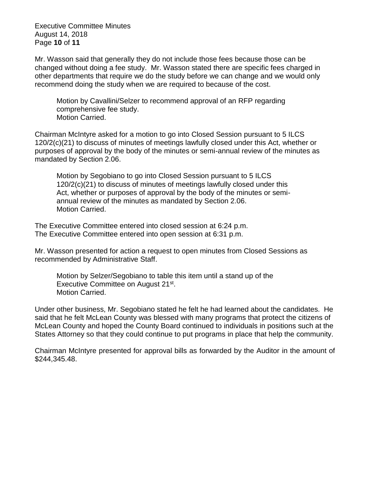Executive Committee Minutes August 14, 2018 Page **10** of **11**

Mr. Wasson said that generally they do not include those fees because those can be changed without doing a fee study. Mr. Wasson stated there are specific fees charged in other departments that require we do the study before we can change and we would only recommend doing the study when we are required to because of the cost.

Motion by Cavallini/Selzer to recommend approval of an RFP regarding comprehensive fee study. Motion Carried.

Chairman McIntyre asked for a motion to go into Closed Session pursuant to 5 ILCS 120/2(c)(21) to discuss of minutes of meetings lawfully closed under this Act, whether or purposes of approval by the body of the minutes or semi-annual review of the minutes as mandated by Section 2.06.

Motion by Segobiano to go into Closed Session pursuant to 5 ILCS 120/2(c)(21) to discuss of minutes of meetings lawfully closed under this Act, whether or purposes of approval by the body of the minutes or semiannual review of the minutes as mandated by Section 2.06. Motion Carried.

The Executive Committee entered into closed session at 6:24 p.m. The Executive Committee entered into open session at 6:31 p.m.

Mr. Wasson presented for action a request to open minutes from Closed Sessions as recommended by Administrative Staff.

Motion by Selzer/Segobiano to table this item until a stand up of the Executive Committee on August 21<sup>st</sup>. Motion Carried.

Under other business, Mr. Segobiano stated he felt he had learned about the candidates. He said that he felt McLean County was blessed with many programs that protect the citizens of McLean County and hoped the County Board continued to individuals in positions such at the States Attorney so that they could continue to put programs in place that help the community.

Chairman McIntyre presented for approval bills as forwarded by the Auditor in the amount of \$244,345.48.